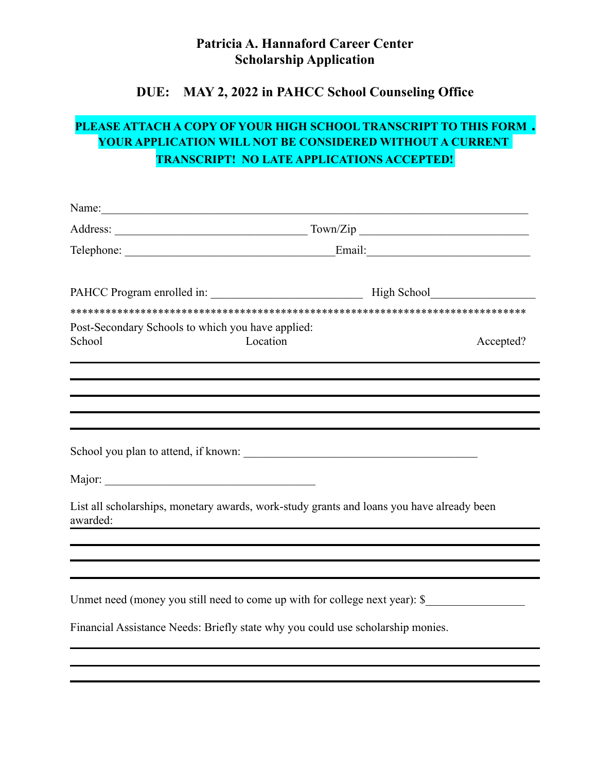## **Patricia A. Hannaford Career Center Scholarship Application**

## **DUE: MAY 2, 2022 in PAHCC School Counseling Office**

## **PLEASE ATTACH A COPY OF YOUR HIGH SCHOOL TRANSCRIPT TO THIS FORM . YOUR APPLICATION WILL NOT BE CONSIDERED WITHOUT A CURRENT TRANSCRIPT! NO LATE APPLICATIONS ACCEPTED!**

| Name:                                                                           |          |                                                                                           |
|---------------------------------------------------------------------------------|----------|-------------------------------------------------------------------------------------------|
|                                                                                 |          |                                                                                           |
|                                                                                 |          |                                                                                           |
|                                                                                 |          |                                                                                           |
|                                                                                 |          |                                                                                           |
| Post-Secondary Schools to which you have applied:<br>School                     | Location | Accepted?                                                                                 |
|                                                                                 |          | ,我们也不会有什么。""我们的人,我们也不会有什么?""我们的人,我们也不会有什么?""我们的人,我们也不会有什么?""我们的人,我们也不会有什么?""我们的人          |
| School you plan to attend, if known:                                            |          |                                                                                           |
|                                                                                 |          |                                                                                           |
| awarded:                                                                        |          | List all scholarships, monetary awards, work-study grants and loans you have already been |
|                                                                                 |          |                                                                                           |
|                                                                                 |          | Unmet need (money you still need to come up with for college next year): \$               |
| Financial Assistance Needs: Briefly state why you could use scholarship monies. |          |                                                                                           |
|                                                                                 |          |                                                                                           |
|                                                                                 |          |                                                                                           |